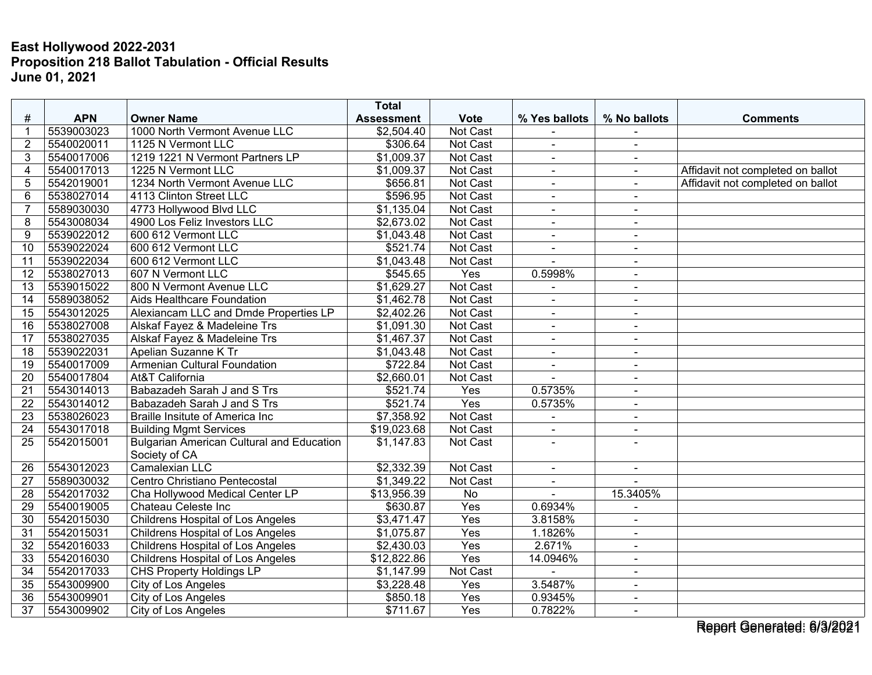| #               | <b>APN</b> | <b>Owner Name</b>                                | <b>Total</b><br><b>Assessment</b> | <b>Vote</b>     | % Yes ballots            | % No ballots         | <b>Comments</b>                   |
|-----------------|------------|--------------------------------------------------|-----------------------------------|-----------------|--------------------------|----------------------|-----------------------------------|
| 1               | 5539003023 | 1000 North Vermont Avenue LLC                    | $\overline{$2,504.40}$            | Not Cast        |                          |                      |                                   |
| $\overline{2}$  | 5540020011 | 1125 N Vermont LLC                               | \$306.64                          | Not Cast        | $\blacksquare$           | $\blacksquare$       |                                   |
| 3               | 5540017006 | 1219 1221 N Vermont Partners LP                  | \$1,009.37                        | Not Cast        | $\ddot{\phantom{1}}$     | $\ddot{\phantom{1}}$ |                                   |
| $\overline{4}$  | 5540017013 | 1225 N Vermont LLC                               | \$1,009.37                        | Not Cast        | $\blacksquare$           | $\blacksquare$       | Affidavit not completed on ballot |
| 5               | 5542019001 | 1234 North Vermont Avenue LLC                    | \$656.81                          | Not Cast        | $\sim$                   | $\overline{a}$       | Affidavit not completed on ballot |
| 6               | 5538027014 | 4113 Clinton Street LLC                          | \$596.95                          | Not Cast        | $\ddot{\phantom{1}}$     | $\overline{a}$       |                                   |
| 7               | 5589030030 | 4773 Hollywood Blvd LLC                          | \$1,135.04                        | Not Cast        | $\overline{\phantom{a}}$ | $\sim$               |                                   |
| 8               | 5543008034 | 4900 Los Feliz Investors LLC                     | \$2,673.02                        | <b>Not Cast</b> |                          |                      |                                   |
| 9               | 5539022012 | 600 612 Vermont LLC                              | \$1,043.48                        | Not Cast        | $\blacksquare$           | $\sim$               |                                   |
| 10              | 5539022024 | 600 612 Vermont LLC                              | \$521.74                          | Not Cast        | $\blacksquare$           | $\sim$               |                                   |
| 11              | 5539022034 | 600 612 Vermont LLC                              | \$1,043.48                        | Not Cast        |                          | $\blacksquare$       |                                   |
| $\overline{12}$ | 5538027013 | 607 N Vermont LLC                                | \$545.65                          | Yes             | 0.5998%                  | $\sim$               |                                   |
| 13              | 5539015022 | 800 N Vermont Avenue LLC                         | \$1,629.27                        | Not Cast        |                          | $\sim$               |                                   |
| 14              | 5589038052 | Aids Healthcare Foundation                       | \$1,462.78                        | Not Cast        | $\blacksquare$           | $\sim$               |                                   |
| 15              | 5543012025 | Alexiancam LLC and Dmde Properties LP            | \$2,402.26                        | Not Cast        |                          |                      |                                   |
| 16              | 5538027008 | Alskaf Fayez & Madeleine Trs                     | \$1,091.30                        | Not Cast        | $\blacksquare$           | $\sim$               |                                   |
| 17              | 5538027035 | Alskaf Fayez & Madeleine Trs                     | \$1,467.37                        | Not Cast        | $\blacksquare$           | $\sim$               |                                   |
| 18              | 5539022031 | Apelian Suzanne K Tr                             | \$1,043.48                        | Not Cast        | $\blacksquare$           | $\blacksquare$       |                                   |
| 19              | 5540017009 | Armenian Cultural Foundation                     | \$722.84                          | Not Cast        | $\blacksquare$           | $\blacksquare$       |                                   |
| 20              | 5540017804 | At&T California                                  | \$2,660.01                        | Not Cast        |                          | $\sim$               |                                   |
| 21              | 5543014013 | Babazadeh Sarah J and S Trs                      | \$521.74                          | Yes             | 0.5735%                  | $\ddot{\phantom{1}}$ |                                   |
| 22              | 5543014012 | Babazadeh Sarah J and S Trs                      | \$521.74                          | Yes             | 0.5735%                  |                      |                                   |
| 23              | 5538026023 | Braille Insitute of America Inc                  | \$7,358.92                        | Not Cast        |                          | $\sim$               |                                   |
| 24              | 5543017018 | <b>Building Mgmt Services</b>                    | \$19,023.68                       | Not Cast        | $\blacksquare$           | $\sim$               |                                   |
| 25              | 5542015001 | <b>Bulgarian American Cultural and Education</b> | \$1,147.83                        | Not Cast        | ä,                       |                      |                                   |
|                 |            | Society of CA                                    |                                   |                 |                          |                      |                                   |
| 26              | 5543012023 | Camalexian LLC                                   | \$2,332.39                        | Not Cast        | $\sim$                   | $\sim$               |                                   |
| 27              | 5589030032 | Centro Christiano Pentecostal                    | \$1,349.22                        | Not Cast        | $\blacksquare$           |                      |                                   |
| $\overline{28}$ | 5542017032 | Cha Hollywood Medical Center LP                  | \$13,956.39                       | <b>No</b>       |                          | 15.3405%             |                                   |
| 29              | 5540019005 | Chateau Celeste Inc                              | \$630.87                          | Yes             | 0.6934%                  |                      |                                   |
| 30              | 5542015030 | <b>Childrens Hospital of Los Angeles</b>         | \$3,471.47                        | Yes             | 3.8158%                  | $\blacksquare$       |                                   |
| 31              | 5542015031 | <b>Childrens Hospital of Los Angeles</b>         | \$1,075.87                        | Yes             | 1.1826%                  | $\blacksquare$       |                                   |
| 32              | 5542016033 | <b>Childrens Hospital of Los Angeles</b>         | \$2,430.03                        | Yes             | 2.671%                   | $\blacksquare$       |                                   |
| 33              | 5542016030 | <b>Childrens Hospital of Los Angeles</b>         | \$12,822.86                       | Yes             | 14.0946%                 | $\sim$               |                                   |
| 34              | 5542017033 | <b>CHS Property Holdings LP</b>                  | \$1,147.99                        | Not Cast        |                          | $\sim$               |                                   |
| 35              | 5543009900 | City of Los Angeles                              | \$3,228.48                        | Yes             | 3.5487%                  |                      |                                   |
| 36              | 5543009901 | City of Los Angeles                              | \$850.18                          | Yes             | 0.9345%                  | $\blacksquare$       |                                   |
| 37              | 5543009902 | City of Los Angeles                              | \$711.67                          | Yes             | 0.7822%                  | $\sim$               |                                   |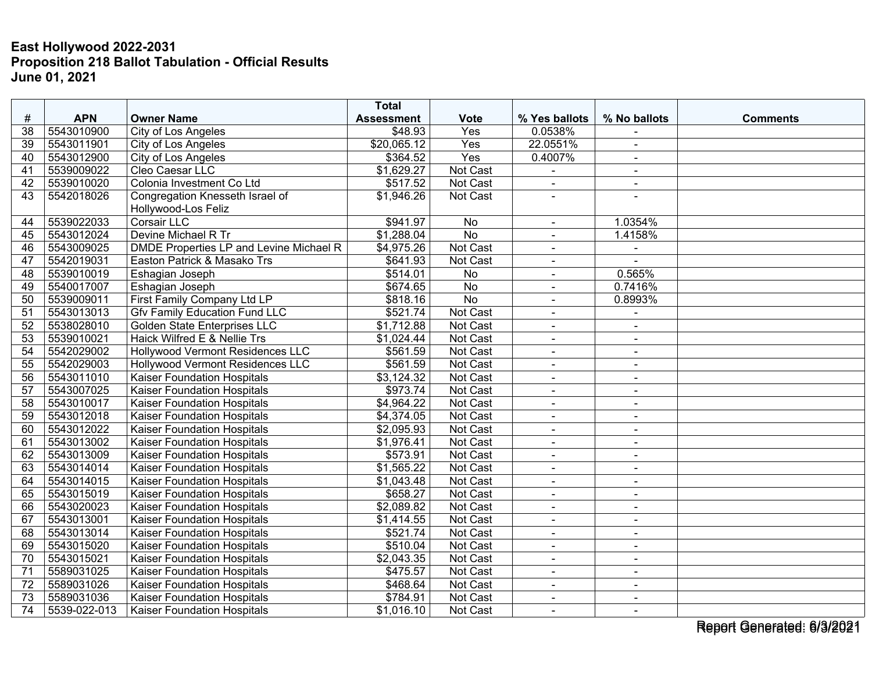|                 |              |                                         | <b>Total</b>        |                  |                |                |                 |
|-----------------|--------------|-----------------------------------------|---------------------|------------------|----------------|----------------|-----------------|
| #               | <b>APN</b>   | <b>Owner Name</b>                       | <b>Assessment</b>   | <b>Vote</b>      | % Yes ballots  | % No ballots   | <b>Comments</b> |
| 38              | 5543010900   | City of Los Angeles                     | $\overline{$}48.93$ | Yes              | 0.0538%        |                |                 |
| 39              | 5543011901   | City of Los Angeles                     | \$20,065.12         | Yes              | 22.0551%       | $\blacksquare$ |                 |
| 40              | 5543012900   | City of Los Angeles                     | \$364.52            | $\overline{Yes}$ | 0.4007%        | $\blacksquare$ |                 |
| 41              | 5539009022   | Cleo Caesar LLC                         | \$1,629.27          | Not Cast         |                | $\blacksquare$ |                 |
| 42              | 5539010020   | Colonia Investment Co Ltd               | \$517.52            | <b>Not Cast</b>  | $\sim$         | $\blacksquare$ |                 |
| 43              | 5542018026   | Congregation Knesseth Israel of         | \$1,946.26          | Not Cast         |                |                |                 |
|                 |              | Hollywood-Los Feliz                     |                     |                  |                |                |                 |
| 44              | 5539022033   | <b>Corsair LLC</b>                      | \$941.97            | No               | $\sim$         | 1.0354%        |                 |
| 45              | 5543012024   | Devine Michael R Tr                     | \$1,288.04          | <b>No</b>        | $\blacksquare$ | 1.4158%        |                 |
| 46              | 5543009025   | DMDE Properties LP and Levine Michael R | \$4,975.26          | <b>Not Cast</b>  | $\blacksquare$ | $\blacksquare$ |                 |
| 47              | 5542019031   | Easton Patrick & Masako Trs             | \$641.93            | Not Cast         | $\blacksquare$ |                |                 |
| 48              | 5539010019   | Eshagian Joseph                         | \$514.01            | No               | $\blacksquare$ | 0.565%         |                 |
| 49              | 5540017007   | Eshagian Joseph                         | \$674.65            | <b>No</b>        | ä,             | 0.7416%        |                 |
| 50              | 5539009011   | First Family Company Ltd LP             | \$818.16            | $\overline{No}$  | $\blacksquare$ | 0.8993%        |                 |
| 51              | 5543013013   | <b>Gfv Family Education Fund LLC</b>    | \$521.74            | Not Cast         | ä,             |                |                 |
| 52              | 5538028010   | Golden State Enterprises LLC            | \$1,712.88          | Not Cast         | $\blacksquare$ | $\blacksquare$ |                 |
| $\overline{53}$ | 5539010021   | Haick Wilfred E & Nellie Trs            | \$1,024.44          | Not Cast         | $\sim$         | $\sim$         |                 |
| 54              | 5542029002   | Hollywood Vermont Residences LLC        | \$561.59            | Not Cast         | $\blacksquare$ | $\blacksquare$ |                 |
| 55              | 5542029003   | <b>Hollywood Vermont Residences LLC</b> | \$561.59            | Not Cast         | $\sim$         | $\blacksquare$ |                 |
| $\overline{56}$ | 5543011010   | Kaiser Foundation Hospitals             | \$3,124.32          | Not Cast         | ä,             | $\sim$         |                 |
| 57              | 5543007025   | Kaiser Foundation Hospitals             | \$973.74            | Not Cast         | $\blacksquare$ | $\blacksquare$ |                 |
| 58              | 5543010017   | <b>Kaiser Foundation Hospitals</b>      | \$4,964.22          | <b>Not Cast</b>  | $\overline{a}$ | $\sim$         |                 |
| 59              | 5543012018   | Kaiser Foundation Hospitals             | \$4,374.05          | Not Cast         | $\blacksquare$ | $\blacksquare$ |                 |
| 60              | 5543012022   | Kaiser Foundation Hospitals             | \$2,095.93          | Not Cast         | $\sim$         | $\sim$         |                 |
| 61              | 5543013002   | Kaiser Foundation Hospitals             | \$1,976.41          | Not Cast         | $\blacksquare$ | $\blacksquare$ |                 |
| 62              | 5543013009   | Kaiser Foundation Hospitals             | \$573.91            | Not Cast         | $\blacksquare$ | $\blacksquare$ |                 |
| 63              | 5543014014   | Kaiser Foundation Hospitals             | \$1,565.22          | Not Cast         | $\sim$         | $\sim$         |                 |
| 64              | 5543014015   | Kaiser Foundation Hospitals             | \$1,043.48          | Not Cast         | $\blacksquare$ | $\blacksquare$ |                 |
| 65              | 5543015019   | <b>Kaiser Foundation Hospitals</b>      | \$658.27            | Not Cast         |                | $\blacksquare$ |                 |
| 66              | 5543020023   | Kaiser Foundation Hospitals             | \$2,089.82          | Not Cast         | $\blacksquare$ | $\blacksquare$ |                 |
| 67              | 5543013001   | Kaiser Foundation Hospitals             | \$1,414.55          | Not Cast         | $\blacksquare$ | $\blacksquare$ |                 |
| 68              | 5543013014   | Kaiser Foundation Hospitals             | \$521.74            | Not Cast         | $\blacksquare$ | $\sim$         |                 |
| 69              | 5543015020   | Kaiser Foundation Hospitals             | \$510.04            | Not Cast         | $\blacksquare$ | $\blacksquare$ |                 |
| 70              | 5543015021   | Kaiser Foundation Hospitals             | \$2,043.35          | Not Cast         | $\sim$         | $\sim$         |                 |
| 71              | 5589031025   | Kaiser Foundation Hospitals             | \$475.57            | Not Cast         | $\blacksquare$ | $\blacksquare$ |                 |
| 72              | 5589031026   | Kaiser Foundation Hospitals             | \$468.64            | Not Cast         |                | $\sim$         |                 |
| 73              | 5589031036   | Kaiser Foundation Hospitals             | \$784.91            | Not Cast         | $\blacksquare$ | $\sim$         |                 |
| 74              | 5539-022-013 | <b>Kaiser Foundation Hospitals</b>      | \$1,016.10          | Not Cast         | $\sim$         | $\blacksquare$ |                 |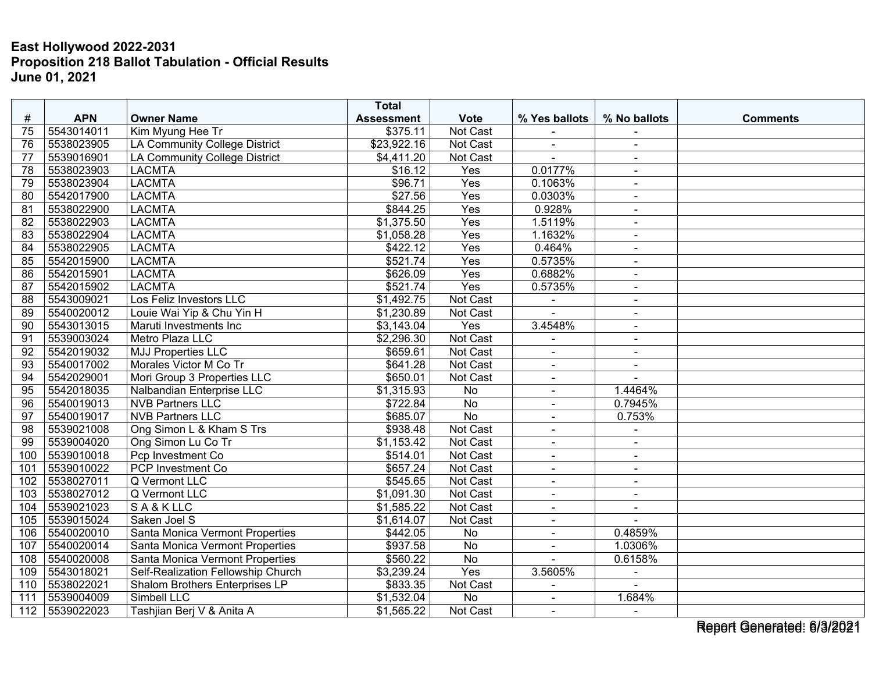|                 |                |                                    | <b>Total</b>      |                 |                          |                |                 |
|-----------------|----------------|------------------------------------|-------------------|-----------------|--------------------------|----------------|-----------------|
| #               | <b>APN</b>     | <b>Owner Name</b>                  | <b>Assessment</b> | <b>Vote</b>     | % Yes ballots            | % No ballots   | <b>Comments</b> |
| 75              | 5543014011     | Kim Myung Hee Tr                   | \$375.11          | Not Cast        |                          |                |                 |
| 76              | 5538023905     | LA Community College District      | \$23,922.16       | <b>Not Cast</b> | $\blacksquare$           | $\blacksquare$ |                 |
| 77              | 5539016901     | LA Community College District      | \$4,411.20        | Not Cast        |                          | $\blacksquare$ |                 |
| 78              | 5538023903     | <b>LACMTA</b>                      | \$16.12           | Yes             | 0.0177%                  |                |                 |
| 79              | 5538023904     | <b>LACMTA</b>                      | \$96.71           | Yes             | 0.1063%                  | $\sim$         |                 |
| 80              | 5542017900     | <b>LACMTA</b>                      | \$27.56           | Yes             | 0.0303%                  | $\blacksquare$ |                 |
| 81              | 5538022900     | <b>LACMTA</b>                      | \$844.25          | Yes             | 0.928%                   | $\blacksquare$ |                 |
| 82              | 5538022903     | <b>LACMTA</b>                      | \$1,375.50        | Yes             | 1.5119%                  | $\sim$         |                 |
| 83              | 5538022904     | <b>LACMTA</b>                      | \$1,058.28        | Yes             | 1.1632%                  | $\sim$         |                 |
| 84              | 5538022905     | <b>LACMTA</b>                      | \$422.12          | Yes             | 0.464%                   | $\blacksquare$ |                 |
| 85              | 5542015900     | <b>LACMTA</b>                      | \$521.74          | Yes             | 0.5735%                  |                |                 |
| 86              | 5542015901     | <b>LACMTA</b>                      | \$626.09          | Yes             | 0.6882%                  | $\blacksquare$ |                 |
| 87              | 5542015902     | <b>LACMTA</b>                      | \$521.74          | Yes             | 0.5735%                  | $\blacksquare$ |                 |
| 88              | 5543009021     | Los Feliz Investors LLC            | \$1,492.75        | Not Cast        |                          | $\blacksquare$ |                 |
| 89              | 5540020012     | Louie Wai Yip & Chu Yin H          | \$1,230.89        | <b>Not Cast</b> |                          | $\sim$         |                 |
| 90              | 5543013015     | Maruti Investments Inc             | \$3,143.04        | Yes             | 3.4548%                  | $\sim$         |                 |
| 91              | 5539003024     | Metro Plaza LLC                    | \$2,296.30        | <b>Not Cast</b> | $\blacksquare$           | $\blacksquare$ |                 |
| $\overline{92}$ | 5542019032     | <b>MJJ Properties LLC</b>          | \$659.61          | Not Cast        | $\blacksquare$           | $\blacksquare$ |                 |
| 93              | 5540017002     | Morales Victor M Co Tr             | \$641.28          | Not Cast        | $\blacksquare$           | $\sim$         |                 |
| 94              | 5542029001     | Mori Group 3 Properties LLC        | \$650.01          | Not Cast        | $\blacksquare$           |                |                 |
| $\overline{95}$ | 5542018035     | Nalbandian Enterprise LLC          | \$1,315.93        | $\overline{No}$ | $\blacksquare$           | 1.4464%        |                 |
| 96              | 5540019013     | <b>NVB Partners LLC</b>            | \$722.84          | <b>No</b>       | ä,                       | 0.7945%        |                 |
| 97              | 5540019017     | <b>NVB Partners LLC</b>            | \$685.07          | <b>No</b>       | $\sim$                   | 0.753%         |                 |
| $\overline{98}$ | 5539021008     | Ong Simon L & Kham S Trs           | \$938.48          | Not Cast        | $\blacksquare$           | $\blacksquare$ |                 |
| 99              | 5539004020     | Ong Simon Lu Co Tr                 | \$1,153.42        | Not Cast        | $\overline{\phantom{a}}$ | $\blacksquare$ |                 |
| 100             | 5539010018     | Pcp Investment Co                  | \$514.01          | <b>Not Cast</b> | $\blacksquare$           | $\sim$         |                 |
| 101             | 5539010022     | <b>PCP Investment Co</b>           | \$657.24          | Not Cast        | $\sim$                   | $\sim$         |                 |
| 102             | 5538027011     | Q Vermont LLC                      | \$545.65          | Not Cast        | $\blacksquare$           | $\sim$         |                 |
| 103             | 5538027012     | Q Vermont LLC                      | \$1,091.30        | <b>Not Cast</b> | $\overline{a}$           |                |                 |
| 104             | 5539021023     | <b>SA&amp;KLLC</b>                 | \$1,585.22        | Not Cast        | $\blacksquare$           | $\sim$         |                 |
| 105             | 5539015024     | Saken Joel S                       | \$1,614.07        | Not Cast        | $\blacksquare$           |                |                 |
| 106             | 5540020010     | Santa Monica Vermont Properties    | \$442.05          | No              | $\overline{\phantom{a}}$ | 0.4859%        |                 |
| 107             | 5540020014     | Santa Monica Vermont Properties    | \$937.58          | $\overline{No}$ | $\blacksquare$           | 1.0306%        |                 |
| 108             | 5540020008     | Santa Monica Vermont Properties    | \$560.22          | $\overline{No}$ | $\sim$                   | 0.6158%        |                 |
| 109             | 5543018021     | Self-Realization Fellowship Church | \$3,239.24        | Yes             | 3.5605%                  | $\blacksquare$ |                 |
| 110             | 5538022021     | Shalom Brothers Enterprises LP     | \$833.35          | Not Cast        |                          |                |                 |
| 111             | 5539004009     | Simbell LLC                        | \$1,532.04        | <b>No</b>       | $\blacksquare$           | 1.684%         |                 |
|                 | 112 5539022023 | Tashjian Berj V & Anita A          | \$1,565.22        | Not Cast        | $\mathbf{r}$             | $\sim$         |                 |